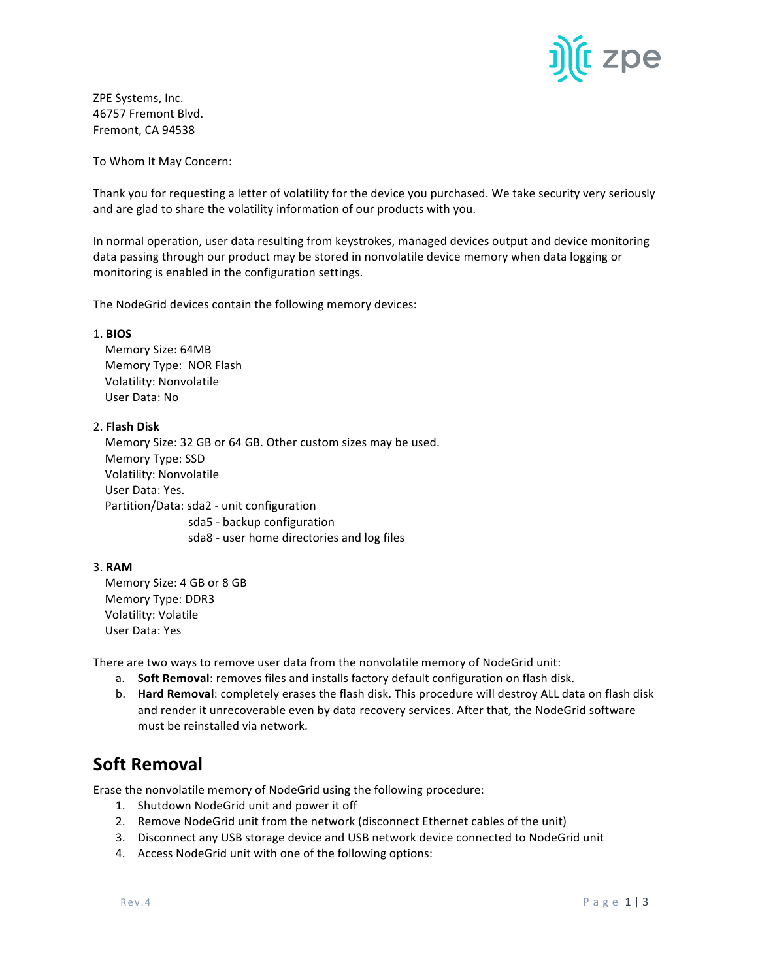

ZPE Systems, Inc. 46757 Fremont Blvd. Fremont, CA 94538

To Whom It May Concern:

Thank you for requesting a letter of volatility for the device you purchased. We take security very seriously and are glad to share the volatility information of our products with you.

In normal operation, user data resulting from keystrokes, managed devices output and device monitoring data passing through our product may be stored in nonvolatile device memory when data logging or monitoring is enabled in the configuration settings.

The NodeGrid devices contain the following memory devices:

### 1. **BIOS**

 Memory Size: 64MB Memory Type: NOR Flash Volatility: Nonvolatile User Data: No

## 2. **Flash Disk**

Memory Size: 32 GB or 64 GB. Other custom sizes may be used. Memory Type: SSD Volatility: Nonvolatile User Data: Yes. Partition/Data: sda2 - unit configuration sda5 - backup configuration sda8 - user home directories and log files

## 3. **RAM**

Memory Size: 4 GB or 8 GB Memory Type: DDR3 Volatility: Volatile User Data: Yes

There are two ways to remove user data from the nonvolatile memory of NodeGrid unit:

- a. **Soft Removal**: removes files and installs factory default configuration on flash disk.
- b. **Hard Removal:** completely erases the flash disk. This procedure will destroy ALL data on flash disk and render it unrecoverable even by data recovery services. After that, the NodeGrid software must be reinstalled via network.

# **Soft Removal**

Erase the nonvolatile memory of NodeGrid using the following procedure:

- 1. Shutdown NodeGrid unit and power it off
- 2. Remove NodeGrid unit from the network (disconnect Ethernet cables of the unit)
- 3. Disconnect any USB storage device and USB network device connected to NodeGrid unit
- 4. Access NodeGrid unit with one of the following options: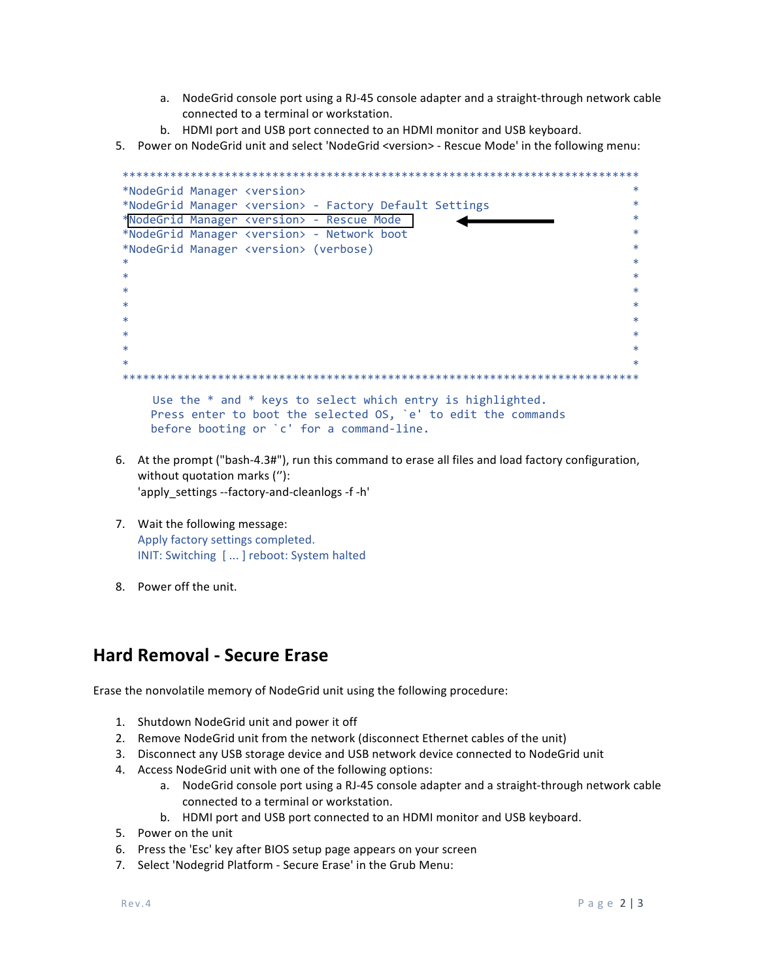- a. NodeGrid console port using a RJ-45 console adapter and a straight-through network cable connected to a terminal or workstation.
- b. HDMI port and USB port connected to an HDMI monitor and USB keyboard.
- 5. Power on NodeGrid unit and select 'NodeGrid <version> Rescue Mode' in the following menu:

```
*NodeGrid Manager <version>
*NodeGrid Manager <version> - Factory Default Settings
*NodeGrid Manager <version> - Rescue Mode
*NodeGrid Manager <version> - Network boot
*NodeGrid Manager <version> (verbose)
Use the * and * keys to select which entry is highlighted.
  Press enter to boot the selected OS, `e' to edit the commands
  before booting or `c' for a command-line.
```
- 6. At the prompt ("bash-4.3#"), run this command to erase all files and load factory configuration, without quotation marks ("): 'apply settings --factory-and-cleanlogs -f -h'
- 7. Wait the following message: Apply factory settings completed. INIT: Switching [...] reboot: System halted
- 8. Power off the unit.

## **Hard Removal - Secure Erase**

Erase the nonvolatile memory of NodeGrid unit using the following procedure:

- 1. Shutdown NodeGrid unit and power it off
- 2. Remove NodeGrid unit from the network (disconnect Ethernet cables of the unit)
- 3. Disconnect any USB storage device and USB network device connected to NodeGrid unit
- 4. Access NodeGrid unit with one of the following options:
	- a. NodeGrid console port using a RJ-45 console adapter and a straight-through network cable connected to a terminal or workstation.
	- b. HDMI port and USB port connected to an HDMI monitor and USB keyboard.
- 5. Power on the unit
- 6. Press the 'Esc' key after BIOS setup page appears on your screen
- 7. Select 'Nodegrid Platform Secure Erase' in the Grub Menu: